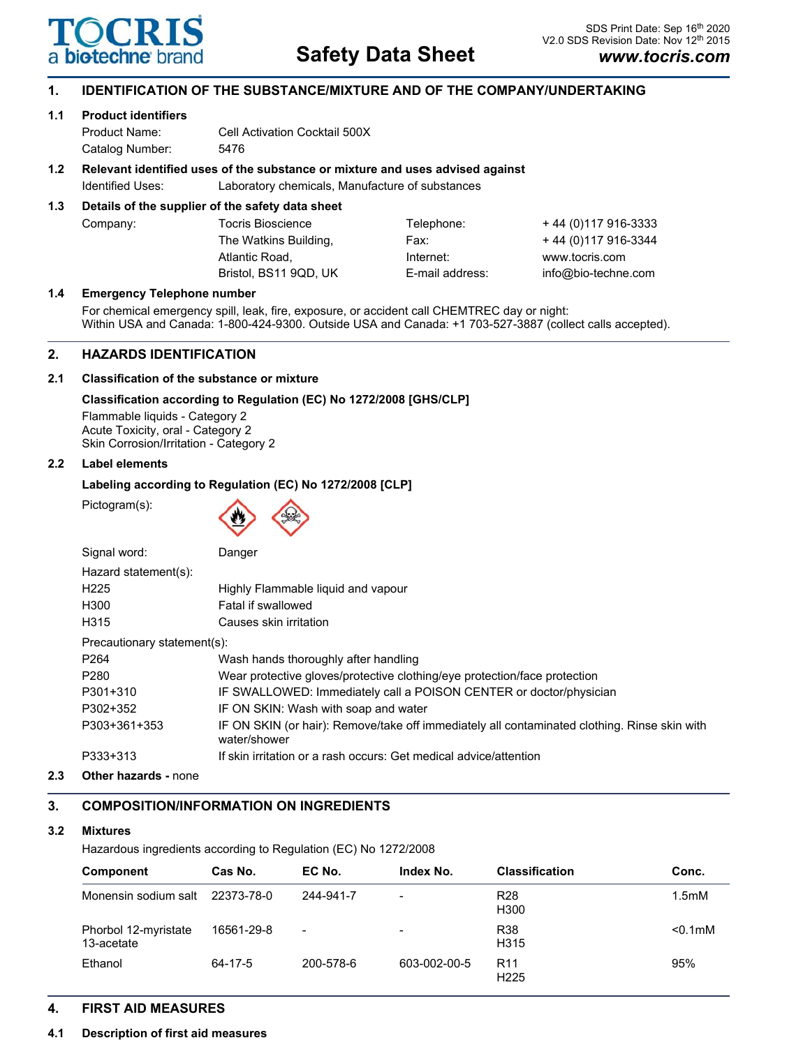

# **1. IDENTIFICATION OF THE SUBSTANCE/MIXTURE AND OF THE COMPANY/UNDERTAKING**

### **1.1 Product identifiers**

Product Name: Cell Activation Cocktail 500X Catalog Number: 5476

# **1.2 Relevant identified uses of the substance or mixture and uses advised against**

Identified Uses: Laboratory chemicals, Manufacture of substances

# **1.3 Details of the supplier of the safety data sheet**

| Company: | <b>Tocris Bioscience</b> | Telephone:      | + 44 (0)117 916-3333 |
|----------|--------------------------|-----------------|----------------------|
|          | The Watkins Building,    | Fax:            | +44 (0) 117 916-3344 |
|          | Atlantic Road.           | Internet:       | www.tocris.com       |
|          | Bristol. BS11 9QD. UK    | E-mail address: | info@bio-techne.com  |

### **1.4 Emergency Telephone number**

For chemical emergency spill, leak, fire, exposure, or accident call CHEMTREC day or night: Within USA and Canada: 1-800-424-9300. Outside USA and Canada: +1 703-527-3887 (collect calls accepted).

# **2. HAZARDS IDENTIFICATION**

# **2.1 Classification of the substance or mixture**

# **Classification according to Regulation (EC) No 1272/2008 [GHS/CLP]**

Flammable liquids - Category 2 Acute Toxicity, oral - Category 2 Skin Corrosion/Irritation - Category 2

# **2.2 Label elements**

# **Labeling according to Regulation (EC) No 1272/2008 [CLP]**

Pictogram(s):



| Signal word:                | Danger                                                                                                       |
|-----------------------------|--------------------------------------------------------------------------------------------------------------|
| Hazard statement(s):        |                                                                                                              |
| H <sub>225</sub>            | Highly Flammable liquid and vapour                                                                           |
| H300                        | Fatal if swallowed                                                                                           |
| H315                        | Causes skin irritation                                                                                       |
| Precautionary statement(s): |                                                                                                              |
| P <sub>264</sub>            | Wash hands thoroughly after handling                                                                         |
| P <sub>280</sub>            | Wear protective gloves/protective clothing/eye protection/face protection                                    |
| P301+310                    | IF SWALLOWED: Immediately call a POISON CENTER or doctor/physician                                           |
| P302+352                    | IF ON SKIN: Wash with soap and water                                                                         |
| P303+361+353                | IF ON SKIN (or hair): Remove/take off immediately all contaminated clothing. Rinse skin with<br>water/shower |
| P333+313                    | If skin irritation or a rash occurs: Get medical advice/attention                                            |

**2.3 Other hazards -** none

# **3. COMPOSITION/INFORMATION ON INGREDIENTS**

# **3.2 Mixtures**

Hazardous ingredients according to Regulation (EC) No 1272/2008

| Component                          | Cas No.    | EC No.    | Index No.                | <b>Classification</b>               | Conc.              |
|------------------------------------|------------|-----------|--------------------------|-------------------------------------|--------------------|
| Monensin sodium salt               | 22373-78-0 | 244-941-7 | $\overline{\phantom{0}}$ | R <sub>28</sub><br>H300             | 1.5 <sub>m</sub> M |
| Phorbol 12-myristate<br>13-acetate | 16561-29-8 | -         | $\overline{\phantom{a}}$ | <b>R38</b><br>H315                  | $< 0.1$ mM         |
| Ethanol                            | 64-17-5    | 200-578-6 | 603-002-00-5             | R <sub>11</sub><br>H <sub>225</sub> | 95%                |

# **4. FIRST AID MEASURES**

# **4.1 Description of first aid measures**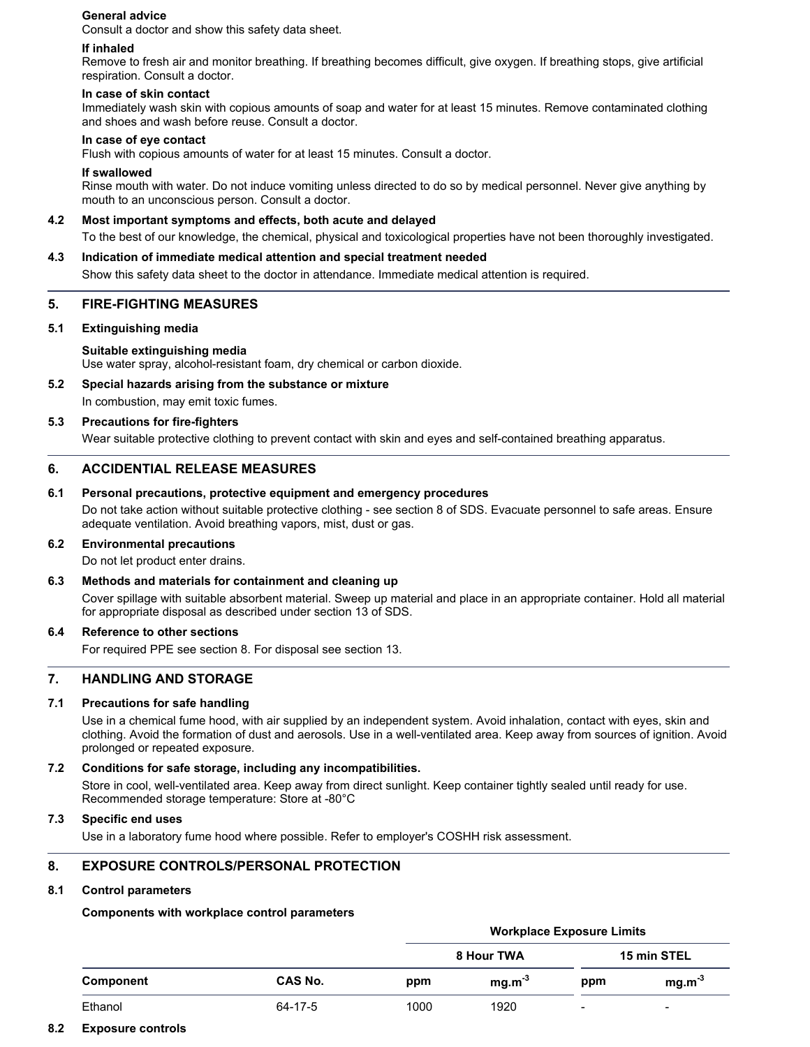## **General advice**

Consult a doctor and show this safety data sheet.

### **If inhaled**

Remove to fresh air and monitor breathing. If breathing becomes difficult, give oxygen. If breathing stops, give artificial respiration. Consult a doctor.

### **In case of skin contact**

Immediately wash skin with copious amounts of soap and water for at least 15 minutes. Remove contaminated clothing and shoes and wash before reuse. Consult a doctor.

### **In case of eye contact**

Flush with copious amounts of water for at least 15 minutes. Consult a doctor.

### **If swallowed**

Rinse mouth with water. Do not induce vomiting unless directed to do so by medical personnel. Never give anything by mouth to an unconscious person. Consult a doctor.

## **4.2 Most important symptoms and effects, both acute and delayed**

To the best of our knowledge, the chemical, physical and toxicological properties have not been thoroughly investigated.

### **4.3 Indication of immediate medical attention and special treatment needed**

Show this safety data sheet to the doctor in attendance. Immediate medical attention is required.

# **5. FIRE-FIGHTING MEASURES**

### **5.1 Extinguishing media**

### **Suitable extinguishing media**

Use water spray, alcohol-resistant foam, dry chemical or carbon dioxide.

# **5.2 Special hazards arising from the substance or mixture**

In combustion, may emit toxic fumes.

### **5.3 Precautions for fire-fighters**

Wear suitable protective clothing to prevent contact with skin and eyes and self-contained breathing apparatus.

# **6. ACCIDENTIAL RELEASE MEASURES**

# **6.1 Personal precautions, protective equipment and emergency procedures**

Do not take action without suitable protective clothing - see section 8 of SDS. Evacuate personnel to safe areas. Ensure adequate ventilation. Avoid breathing vapors, mist, dust or gas.

# **6.2 Environmental precautions**

Do not let product enter drains.

# **6.3 Methods and materials for containment and cleaning up**

Cover spillage with suitable absorbent material. Sweep up material and place in an appropriate container. Hold all material for appropriate disposal as described under section 13 of SDS.

# **6.4 Reference to other sections**

For required PPE see section 8. For disposal see section 13.

# **7. HANDLING AND STORAGE**

# **7.1 Precautions for safe handling**

Use in a chemical fume hood, with air supplied by an independent system. Avoid inhalation, contact with eyes, skin and clothing. Avoid the formation of dust and aerosols. Use in a well-ventilated area. Keep away from sources of ignition. Avoid prolonged or repeated exposure.

# **7.2 Conditions for safe storage, including any incompatibilities.**

Store in cool, well-ventilated area. Keep away from direct sunlight. Keep container tightly sealed until ready for use. Recommended storage temperature: Store at -80°C

#### **7.3 Specific end uses**

Use in a laboratory fume hood where possible. Refer to employer's COSHH risk assessment.

# **8. EXPOSURE CONTROLS/PERSONAL PROTECTION**

# **8.1 Control parameters**

# **Components with workplace control parameters**

|           |         | <b>Workplace Exposure Limits</b> |            |     |                          |  |
|-----------|---------|----------------------------------|------------|-----|--------------------------|--|
|           |         |                                  | 8 Hour TWA |     | 15 min STEL              |  |
| Component | CAS No. | ppm                              | $mg.m-3$   | ppm | $mg.m-3$                 |  |
| Ethanol   | 64-17-5 | 1000                             | 1920       | -   | $\overline{\phantom{a}}$ |  |

# **8.2 Exposure controls**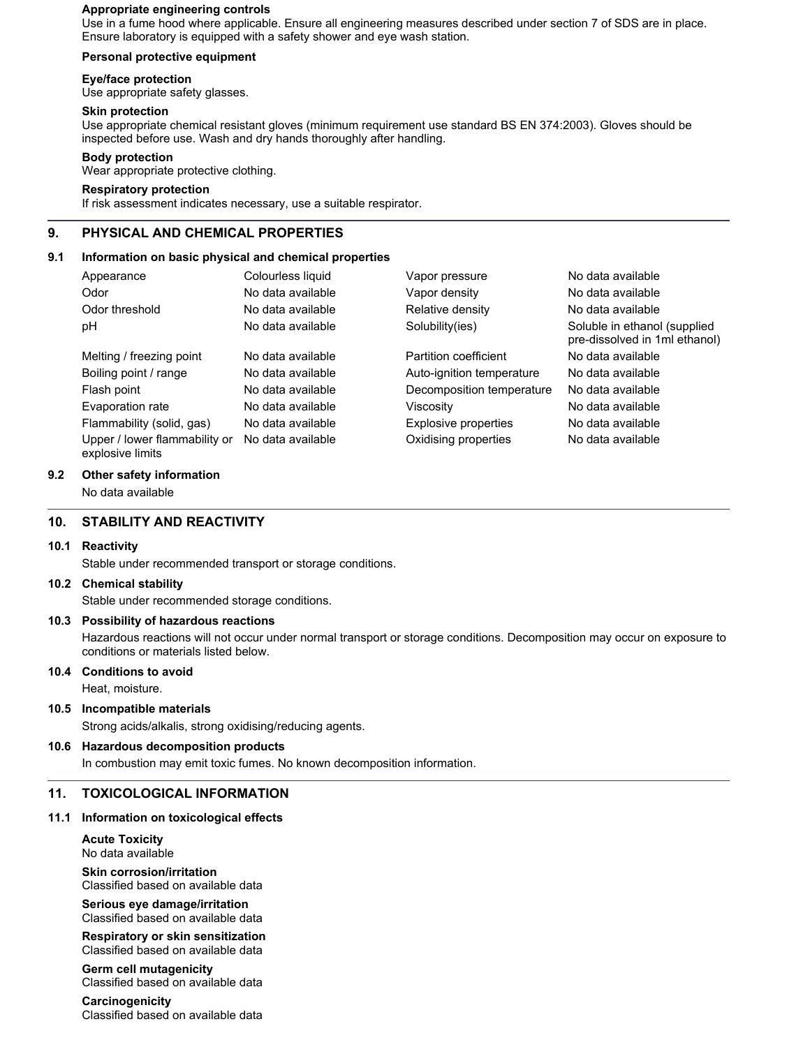### **Appropriate engineering controls**

Use in a fume hood where applicable. Ensure all engineering measures described under section 7 of SDS are in place. Ensure laboratory is equipped with a safety shower and eye wash station.

### **Personal protective equipment**

### **Eye/face protection**

Use appropriate safety glasses.

### **Skin protection**

Use appropriate chemical resistant gloves (minimum requirement use standard BS EN 374:2003). Gloves should be inspected before use. Wash and dry hands thoroughly after handling.

### **Body protection**

Wear appropriate protective clothing.

# **Respiratory protection**

If risk assessment indicates necessary, use a suitable respirator.

# **9. PHYSICAL AND CHEMICAL PROPERTIES**

### **9.1 Information on basic physical and chemical properties**

| Appearance                                        | Colourless liquid | Vapor pressure            | No data available                                             |
|---------------------------------------------------|-------------------|---------------------------|---------------------------------------------------------------|
| Odor                                              | No data available | Vapor density             | No data available                                             |
| Odor threshold                                    | No data available | Relative density          | No data available                                             |
| рH                                                | No data available | Solubility(ies)           | Soluble in ethanol (supplied<br>pre-dissolved in 1ml ethanol) |
| Melting / freezing point                          | No data available | Partition coefficient     | No data available                                             |
| Boiling point / range                             | No data available | Auto-ignition temperature | No data available                                             |
| Flash point                                       | No data available | Decomposition temperature | No data available                                             |
| Evaporation rate                                  | No data available | Viscosity                 | No data available                                             |
| Flammability (solid, gas)                         | No data available | Explosive properties      | No data available                                             |
| Upper / lower flammability or<br>explosive limits | No data available | Oxidising properties      | No data available                                             |

### **9.2 Other safety information**

No data available

# **10. STABILITY AND REACTIVITY**

#### **10.1 Reactivity**

Stable under recommended transport or storage conditions.

#### **10.2 Chemical stability**

Stable under recommended storage conditions.

# **10.3 Possibility of hazardous reactions**

Hazardous reactions will not occur under normal transport or storage conditions. Decomposition may occur on exposure to conditions or materials listed below.

#### **10.4 Conditions to avoid**

Heat, moisture.

# **10.5 Incompatible materials**

Strong acids/alkalis, strong oxidising/reducing agents.

# **10.6 Hazardous decomposition products**

In combustion may emit toxic fumes. No known decomposition information.

# **11. TOXICOLOGICAL INFORMATION**

# **11.1 Information on toxicological effects**

**Acute Toxicity** No data available **Skin corrosion/irritation**

Classified based on available data

**Serious eye damage/irritation** Classified based on available data

### **Respiratory or skin sensitization** Classified based on available data

**Germ cell mutagenicity** Classified based on available data

# **Carcinogenicity**

Classified based on available data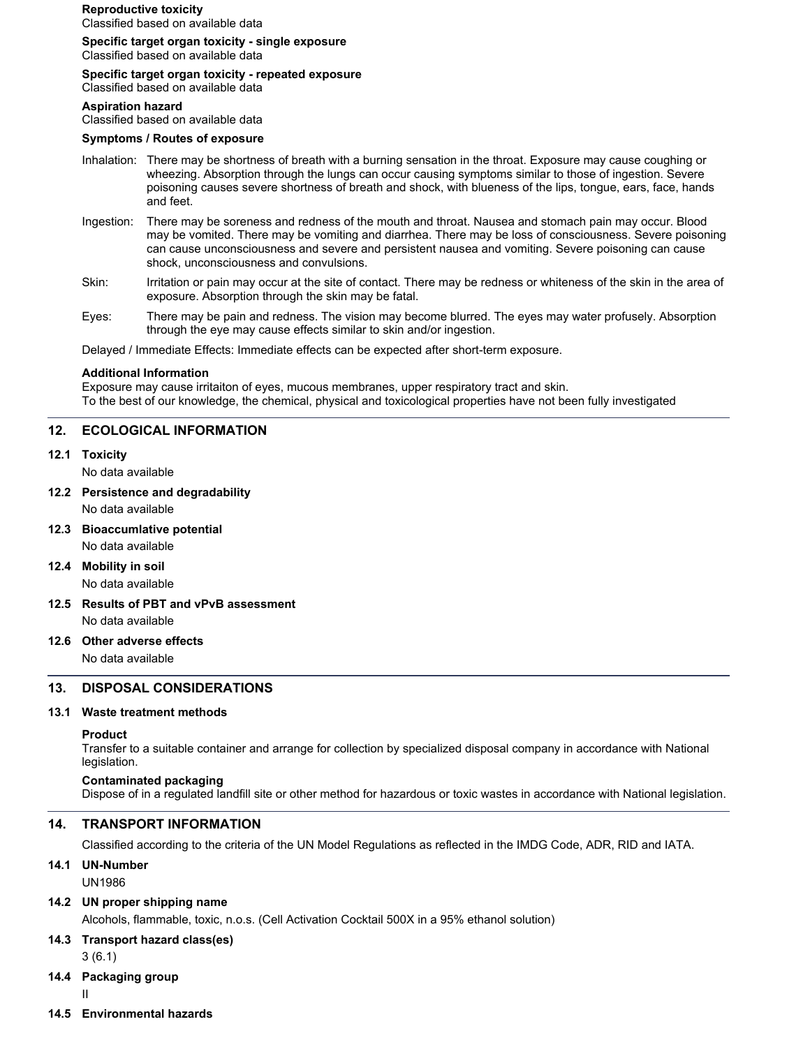# **Reproductive toxicity**

Classified based on available data

**Specific target organ toxicity - single exposure**

Classified based on available data

# **Specific target organ toxicity - repeated exposure**

Classified based on available data

#### **Aspiration hazard**

Classified based on available data

#### **Symptoms / Routes of exposure**

- Inhalation: There may be shortness of breath with a burning sensation in the throat. Exposure may cause coughing or wheezing. Absorption through the lungs can occur causing symptoms similar to those of ingestion. Severe poisoning causes severe shortness of breath and shock, with blueness of the lips, tongue, ears, face, hands and feet.
- Ingestion: There may be soreness and redness of the mouth and throat. Nausea and stomach pain may occur. Blood may be vomited. There may be vomiting and diarrhea. There may be loss of consciousness. Severe poisoning can cause unconsciousness and severe and persistent nausea and vomiting. Severe poisoning can cause shock, unconsciousness and convulsions.
- Skin: Irritation or pain may occur at the site of contact. There may be redness or whiteness of the skin in the area of exposure. Absorption through the skin may be fatal.
- Eyes: There may be pain and redness. The vision may become blurred. The eyes may water profusely. Absorption through the eye may cause effects similar to skin and/or ingestion.

Delayed / Immediate Effects: Immediate effects can be expected after short-term exposure.

### **Additional Information**

Exposure may cause irritaiton of eyes, mucous membranes, upper respiratory tract and skin. To the best of our knowledge, the chemical, physical and toxicological properties have not been fully investigated

# **12. ECOLOGICAL INFORMATION**

# **12.1 Toxicity**

No data available

**12.2 Persistence and degradability**

No data available

- **12.3 Bioaccumlative potential** No data available
- **12.4 Mobility in soil** No data available
- **12.5 Results of PBT and vPvB assessment**

No data available

# **12.6 Other adverse effects**

No data available

# **13. DISPOSAL CONSIDERATIONS**

# **13.1 Waste treatment methods**

# **Product**

Transfer to a suitable container and arrange for collection by specialized disposal company in accordance with National legislation.

# **Contaminated packaging**

Dispose of in a regulated landfill site or other method for hazardous or toxic wastes in accordance with National legislation.

# **14. TRANSPORT INFORMATION**

Classified according to the criteria of the UN Model Regulations as reflected in the IMDG Code, ADR, RID and IATA.

# **14.1 UN-Number**

UN1986

# **14.2 UN proper shipping name**

Alcohols, flammable, toxic, n.o.s. (Cell Activation Cocktail 500X in a 95% ethanol solution)

# **14.3 Transport hazard class(es)**

3 (6.1)

# **14.4 Packaging group**

- II
- **14.5 Environmental hazards**